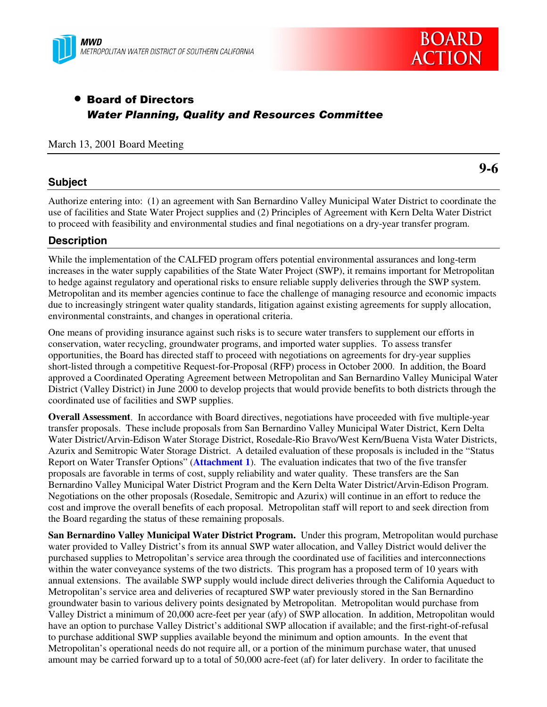



# • Board of Directors *Water Planning, Quality and Resources Committee*

#### March 13, 2001 Board Meeting

# **Subject**

**9-6**

Authorize entering into: (1) an agreement with San Bernardino Valley Municipal Water District to coordinate the use of facilities and State Water Project supplies and (2) Principles of Agreement with Kern Delta Water District to proceed with feasibility and environmental studies and final negotiations on a dry-year transfer program.

# **Description**

While the implementation of the CALFED program offers potential environmental assurances and long-term increases in the water supply capabilities of the State Water Project (SWP), it remains important for Metropolitan to hedge against regulatory and operational risks to ensure reliable supply deliveries through the SWP system. Metropolitan and its member agencies continue to face the challenge of managing resource and economic impacts due to increasingly stringent water quality standards, litigation against existing agreements for supply allocation, environmental constraints, and changes in operational criteria.

One means of providing insurance against such risks is to secure water transfers to supplement our efforts in conservation, water recycling, groundwater programs, and imported water supplies. To assess transfer opportunities, the Board has directed staff to proceed with negotiations on agreements for dry-year supplies short-listed through a competitive Request-for-Proposal (RFP) process in October 2000. In addition, the Board approved a Coordinated Operating Agreement between Metropolitan and San Bernardino Valley Municipal Water District (Valley District) in June 2000 to develop projects that would provide benefits to both districts through the coordinated use of facilities and SWP supplies.

**Overall Assessment**. In accordance with Board directives, negotiations have proceeded with five multiple-year transfer proposals. These include proposals from San Bernardino Valley Municipal Water District, Kern Delta Water District/Arvin-Edison Water Storage District, Rosedale-Rio Bravo/West Kern/Buena Vista Water Districts, Azurix and Semitropic Water Storage District. A detailed evaluation of these proposals is included in the "Status Report on Water Transfer Options" (**Attachment 1**). The evaluation indicates that two of the five transfer proposals are favorable in terms of cost, supply reliability and water quality. These transfers are the San Bernardino Valley Municipal Water District Program and the Kern Delta Water District/Arvin-Edison Program. Negotiations on the other proposals (Rosedale, Semitropic and Azurix) will continue in an effort to reduce the cost and improve the overall benefits of each proposal. Metropolitan staff will report to and seek direction from the Board regarding the status of these remaining proposals.

**San Bernardino Valley Municipal Water District Program.** Under this program, Metropolitan would purchase water provided to Valley District's from its annual SWP water allocation, and Valley District would deliver the purchased supplies to Metropolitan's service area through the coordinated use of facilities and interconnections within the water conveyance systems of the two districts. This program has a proposed term of 10 years with annual extensions. The available SWP supply would include direct deliveries through the California Aqueduct to Metropolitan's service area and deliveries of recaptured SWP water previously stored in the San Bernardino groundwater basin to various delivery points designated by Metropolitan. Metropolitan would purchase from Valley District a minimum of 20,000 acre-feet per year (afy) of SWP allocation. In addition, Metropolitan would have an option to purchase Valley District's additional SWP allocation if available; and the first-right-of-refusal to purchase additional SWP supplies available beyond the minimum and option amounts. In the event that Metropolitan's operational needs do not require all, or a portion of the minimum purchase water, that unused amount may be carried forward up to a total of 50,000 acre-feet (af) for later delivery. In order to facilitate the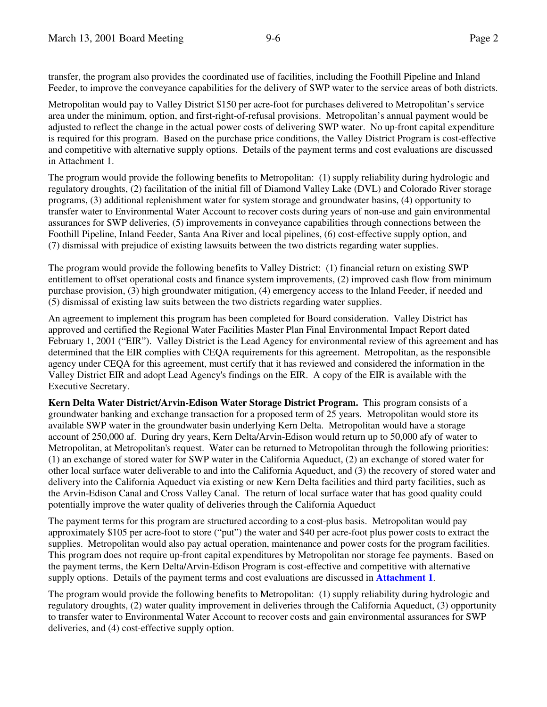transfer, the program also provides the coordinated use of facilities, including the Foothill Pipeline and Inland Feeder, to improve the conveyance capabilities for the delivery of SWP water to the service areas of both districts.

Metropolitan would pay to Valley District \$150 per acre-foot for purchases delivered to Metropolitan's service area under the minimum, option, and first-right-of-refusal provisions. Metropolitan's annual payment would be adjusted to reflect the change in the actual power costs of delivering SWP water. No up-front capital expenditure is required for this program. Based on the purchase price conditions, the Valley District Program is cost-effective and competitive with alternative supply options. Details of the payment terms and cost evaluations are discussed in Attachment 1.

The program would provide the following benefits to Metropolitan: (1) supply reliability during hydrologic and regulatory droughts, (2) facilitation of the initial fill of Diamond Valley Lake (DVL) and Colorado River storage programs, (3) additional replenishment water for system storage and groundwater basins, (4) opportunity to transfer water to Environmental Water Account to recover costs during years of non-use and gain environmental assurances for SWP deliveries, (5) improvements in conveyance capabilities through connections between the Foothill Pipeline, Inland Feeder, Santa Ana River and local pipelines, (6) cost-effective supply option, and (7) dismissal with prejudice of existing lawsuits between the two districts regarding water supplies.

The program would provide the following benefits to Valley District: (1) financial return on existing SWP entitlement to offset operational costs and finance system improvements, (2) improved cash flow from minimum purchase provision, (3) high groundwater mitigation, (4) emergency access to the Inland Feeder, if needed and (5) dismissal of existing law suits between the two districts regarding water supplies.

An agreement to implement this program has been completed for Board consideration. Valley District has approved and certified the Regional Water Facilities Master Plan Final Environmental Impact Report dated February 1, 2001 ("EIR"). Valley District is the Lead Agency for environmental review of this agreement and has determined that the EIR complies with CEQA requirements for this agreement. Metropolitan, as the responsible agency under CEQA for this agreement, must certify that it has reviewed and considered the information in the Valley District EIR and adopt Lead Agency's findings on the EIR. A copy of the EIR is available with the Executive Secretary.

**Kern Delta Water District/Arvin-Edison Water Storage District Program.** This program consists of a groundwater banking and exchange transaction for a proposed term of 25 years. Metropolitan would store its available SWP water in the groundwater basin underlying Kern Delta. Metropolitan would have a storage account of 250,000 af. During dry years, Kern Delta/Arvin-Edison would return up to 50,000 afy of water to Metropolitan, at Metropolitan's request. Water can be returned to Metropolitan through the following priorities: (1) an exchange of stored water for SWP water in the California Aqueduct, (2) an exchange of stored water for other local surface water deliverable to and into the California Aqueduct, and (3) the recovery of stored water and delivery into the California Aqueduct via existing or new Kern Delta facilities and third party facilities, such as the Arvin-Edison Canal and Cross Valley Canal. The return of local surface water that has good quality could potentially improve the water quality of deliveries through the California Aqueduct

The payment terms for this program are structured according to a cost-plus basis. Metropolitan would pay approximately \$105 per acre-foot to store ("put") the water and \$40 per acre-foot plus power costs to extract the supplies. Metropolitan would also pay actual operation, maintenance and power costs for the program facilities. This program does not require up-front capital expenditures by Metropolitan nor storage fee payments. Based on the payment terms, the Kern Delta/Arvin-Edison Program is cost-effective and competitive with alternative supply options. Details of the payment terms and cost evaluations are discussed in **Attachment 1**.

The program would provide the following benefits to Metropolitan: (1) supply reliability during hydrologic and regulatory droughts, (2) water quality improvement in deliveries through the California Aqueduct, (3) opportunity to transfer water to Environmental Water Account to recover costs and gain environmental assurances for SWP deliveries, and (4) cost-effective supply option.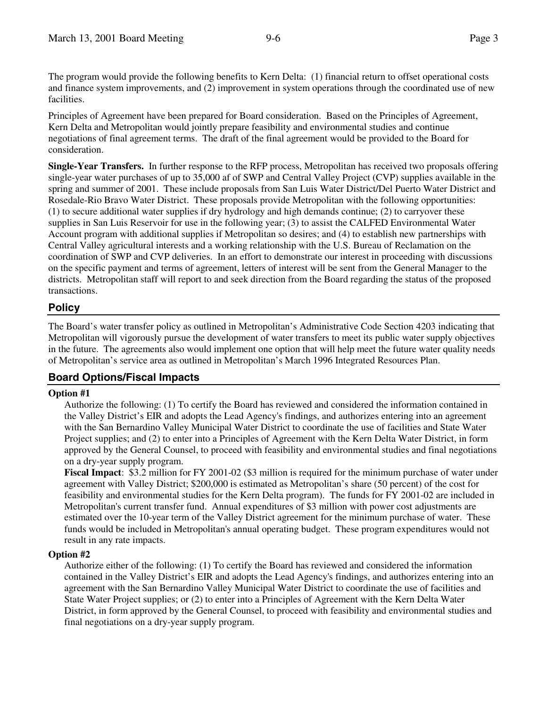The program would provide the following benefits to Kern Delta: (1) financial return to offset operational costs and finance system improvements, and (2) improvement in system operations through the coordinated use of new facilities.

Principles of Agreement have been prepared for Board consideration. Based on the Principles of Agreement, Kern Delta and Metropolitan would jointly prepare feasibility and environmental studies and continue negotiations of final agreement terms. The draft of the final agreement would be provided to the Board for consideration.

**Single-Year Transfers.** In further response to the RFP process, Metropolitan has received two proposals offering single-year water purchases of up to 35,000 af of SWP and Central Valley Project (CVP) supplies available in the spring and summer of 2001. These include proposals from San Luis Water District/Del Puerto Water District and Rosedale-Rio Bravo Water District. These proposals provide Metropolitan with the following opportunities: (1) to secure additional water supplies if dry hydrology and high demands continue; (2) to carryover these supplies in San Luis Reservoir for use in the following year; (3) to assist the CALFED Environmental Water Account program with additional supplies if Metropolitan so desires; and (4) to establish new partnerships with Central Valley agricultural interests and a working relationship with the U.S. Bureau of Reclamation on the coordination of SWP and CVP deliveries. In an effort to demonstrate our interest in proceeding with discussions on the specific payment and terms of agreement, letters of interest will be sent from the General Manager to the districts. Metropolitan staff will report to and seek direction from the Board regarding the status of the proposed transactions.

# **Policy**

The Board's water transfer policy as outlined in Metropolitan's Administrative Code Section 4203 indicating that Metropolitan will vigorously pursue the development of water transfers to meet its public water supply objectives in the future. The agreements also would implement one option that will help meet the future water quality needs of Metropolitan's service area as outlined in Metropolitan's March 1996 Integrated Resources Plan.

# **Board Options/Fiscal Impacts**

#### **Option #1**

Authorize the following: (1) To certify the Board has reviewed and considered the information contained in the Valley District's EIR and adopts the Lead Agency's findings, and authorizes entering into an agreement with the San Bernardino Valley Municipal Water District to coordinate the use of facilities and State Water Project supplies; and (2) to enter into a Principles of Agreement with the Kern Delta Water District, in form approved by the General Counsel, to proceed with feasibility and environmental studies and final negotiations on a dry-year supply program.

**Fiscal Impact**: \$3.2 million for FY 2001-02 (\$3 million is required for the minimum purchase of water under agreement with Valley District; \$200,000 is estimated as Metropolitan's share (50 percent) of the cost for feasibility and environmental studies for the Kern Delta program). The funds for FY 2001-02 are included in Metropolitan's current transfer fund. Annual expenditures of \$3 million with power cost adjustments are estimated over the 10-year term of the Valley District agreement for the minimum purchase of water. These funds would be included in Metropolitan's annual operating budget. These program expenditures would not result in any rate impacts.

# **Option #2**

Authorize either of the following: (1) To certify the Board has reviewed and considered the information contained in the Valley District's EIR and adopts the Lead Agency's findings, and authorizes entering into an agreement with the San Bernardino Valley Municipal Water District to coordinate the use of facilities and State Water Project supplies; or (2) to enter into a Principles of Agreement with the Kern Delta Water District, in form approved by the General Counsel, to proceed with feasibility and environmental studies and final negotiations on a dry-year supply program.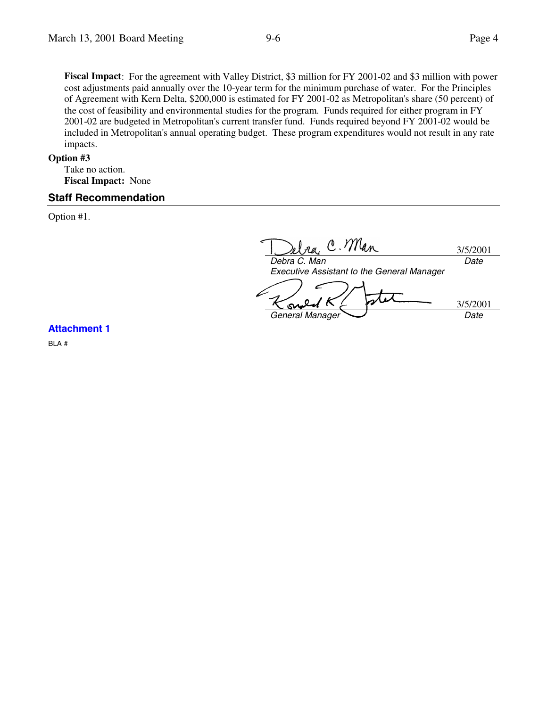**Fiscal Impact**: For the agreement with Valley District, \$3 million for FY 2001-02 and \$3 million with power cost adjustments paid annually over the 10-year term for the minimum purchase of water. For the Principles of Agreement with Kern Delta, \$200,000 is estimated for FY 2001-02 as Metropolitan's share (50 percent) of the cost of feasibility and environmental studies for the program. Funds required for either program in FY 2001-02 are budgeted in Metropolitan's current transfer fund. Funds required beyond FY 2001-02 would be included in Metropolitan's annual operating budget. These program expenditures would not result in any rate impacts.

#### **Option #3**

Take no action. **Fiscal Impact:** None

#### **Staff Recommendation**

Option #1.

C. Man 3/5/2001 *Debra C. Man Date Executive Assistant to the General Manager* 3/5/2001 SM **General Manager** Date

**Attachment 1**

BLA #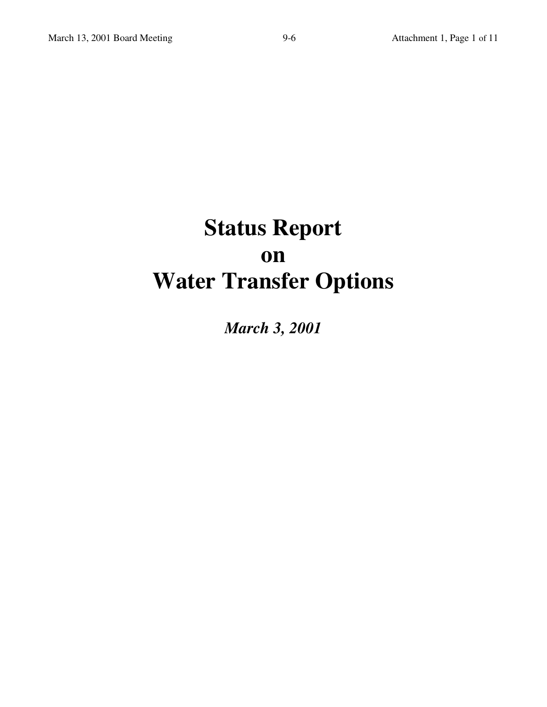# **Status Report on Water Transfer Options**

*March 3, 2001*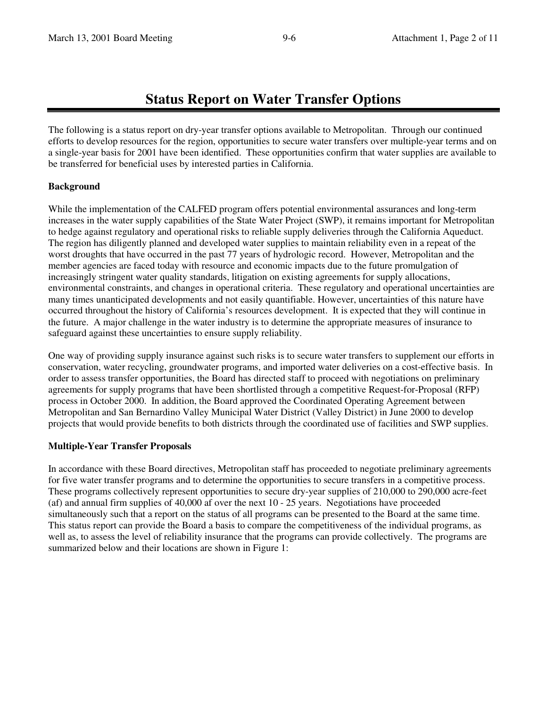# **Status Report on Water Transfer Options**

The following is a status report on dry-year transfer options available to Metropolitan. Through our continued efforts to develop resources for the region, opportunities to secure water transfers over multiple-year terms and on a single-year basis for 2001 have been identified. These opportunities confirm that water supplies are available to be transferred for beneficial uses by interested parties in California.

# **Background**

While the implementation of the CALFED program offers potential environmental assurances and long-term increases in the water supply capabilities of the State Water Project (SWP), it remains important for Metropolitan to hedge against regulatory and operational risks to reliable supply deliveries through the California Aqueduct. The region has diligently planned and developed water supplies to maintain reliability even in a repeat of the worst droughts that have occurred in the past 77 years of hydrologic record. However, Metropolitan and the member agencies are faced today with resource and economic impacts due to the future promulgation of increasingly stringent water quality standards, litigation on existing agreements for supply allocations, environmental constraints, and changes in operational criteria. These regulatory and operational uncertainties are many times unanticipated developments and not easily quantifiable. However, uncertainties of this nature have occurred throughout the history of California's resources development. It is expected that they will continue in the future. A major challenge in the water industry is to determine the appropriate measures of insurance to safeguard against these uncertainties to ensure supply reliability.

One way of providing supply insurance against such risks is to secure water transfers to supplement our efforts in conservation, water recycling, groundwater programs, and imported water deliveries on a cost-effective basis. In order to assess transfer opportunities, the Board has directed staff to proceed with negotiations on preliminary agreements for supply programs that have been shortlisted through a competitive Request-for-Proposal (RFP) process in October 2000. In addition, the Board approved the Coordinated Operating Agreement between Metropolitan and San Bernardino Valley Municipal Water District (Valley District) in June 2000 to develop projects that would provide benefits to both districts through the coordinated use of facilities and SWP supplies.

# **Multiple-Year Transfer Proposals**

In accordance with these Board directives, Metropolitan staff has proceeded to negotiate preliminary agreements for five water transfer programs and to determine the opportunities to secure transfers in a competitive process. These programs collectively represent opportunities to secure dry-year supplies of 210,000 to 290,000 acre-feet (af) and annual firm supplies of 40,000 af over the next 10 - 25 years. Negotiations have proceeded simultaneously such that a report on the status of all programs can be presented to the Board at the same time. This status report can provide the Board a basis to compare the competitiveness of the individual programs, as well as, to assess the level of reliability insurance that the programs can provide collectively. The programs are summarized below and their locations are shown in Figure 1: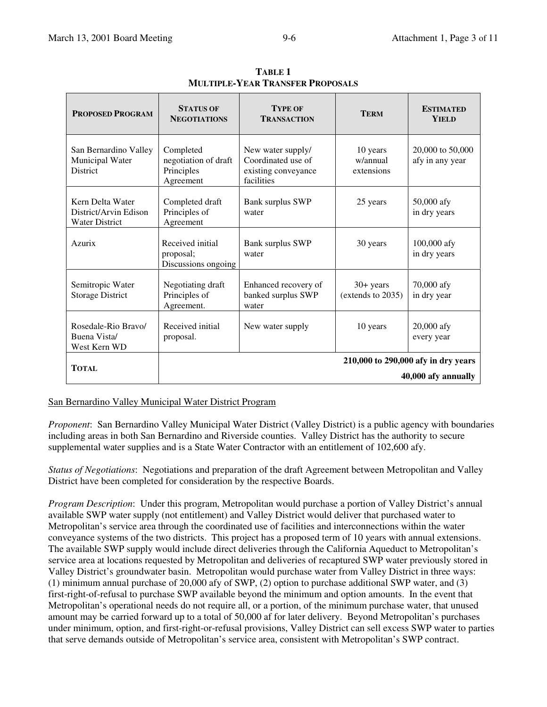| <b>PROPOSED PROGRAM</b>                                            | <b>STATUS OF</b><br><b>NEGOTIATIONS</b>                      | <b>TYPE OF</b><br><b>TRANSACTION</b>                                         | <b>TERM</b>                        | <b>ESTIMATED</b><br><b>YIELD</b>    |  |
|--------------------------------------------------------------------|--------------------------------------------------------------|------------------------------------------------------------------------------|------------------------------------|-------------------------------------|--|
| San Bernardino Valley<br>Municipal Water<br><b>District</b>        | Completed<br>negotiation of draft<br>Principles<br>Agreement | New water supply/<br>Coordinated use of<br>existing conveyance<br>facilities | 10 years<br>w/annual<br>extensions | 20,000 to 50,000<br>afy in any year |  |
| Kern Delta Water<br>District/Arvin Edison<br><b>Water District</b> | Completed draft<br>Principles of<br>Agreement                | <b>Bank surplus SWP</b><br>water                                             | 25 years                           | 50,000 afy<br>in dry years          |  |
| Azurix                                                             | Received initial<br>proposal;<br>Discussions ongoing         | <b>Bank surplus SWP</b><br>water                                             | 30 years                           | $100,000$ afy<br>in dry years       |  |
| Semitropic Water<br><b>Storage District</b>                        | Negotiating draft<br>Principles of<br>Agreement.             | Enhanced recovery of<br>banked surplus SWP<br>water                          | $30+$ years<br>(extends to 2035)   | 70,000 afy<br>in dry year           |  |
| Rosedale-Rio Bravo/<br>Buena Vista/<br>West Kern WD                | Received initial<br>proposal.                                | New water supply                                                             | 10 years                           | 20,000 afy<br>every year            |  |
| <b>TOTAL</b>                                                       |                                                              | 210,000 to 290,000 afy in dry years                                          |                                    |                                     |  |
|                                                                    | 40,000 afy annually                                          |                                                                              |                                    |                                     |  |

**TABLE 1 MULTIPLE-YEAR TRANSFER PROPOSALS**

#### San Bernardino Valley Municipal Water District Program

*Proponent*: San Bernardino Valley Municipal Water District (Valley District) is a public agency with boundaries including areas in both San Bernardino and Riverside counties. Valley District has the authority to secure supplemental water supplies and is a State Water Contractor with an entitlement of 102,600 afy.

*Status of Negotiations*: Negotiations and preparation of the draft Agreement between Metropolitan and Valley District have been completed for consideration by the respective Boards.

*Program Description*: Under this program, Metropolitan would purchase a portion of Valley District's annual available SWP water supply (not entitlement) and Valley District would deliver that purchased water to Metropolitan's service area through the coordinated use of facilities and interconnections within the water conveyance systems of the two districts. This project has a proposed term of 10 years with annual extensions. The available SWP supply would include direct deliveries through the California Aqueduct to Metropolitan's service area at locations requested by Metropolitan and deliveries of recaptured SWP water previously stored in Valley District's groundwater basin. Metropolitan would purchase water from Valley District in three ways: (1) minimum annual purchase of 20,000 afy of SWP, (2) option to purchase additional SWP water, and (3) first-right-of-refusal to purchase SWP available beyond the minimum and option amounts. In the event that Metropolitan's operational needs do not require all, or a portion, of the minimum purchase water, that unused amount may be carried forward up to a total of 50,000 af for later delivery. Beyond Metropolitan's purchases under minimum, option, and first-right-or-refusal provisions, Valley District can sell excess SWP water to parties that serve demands outside of Metropolitan's service area, consistent with Metropolitan's SWP contract.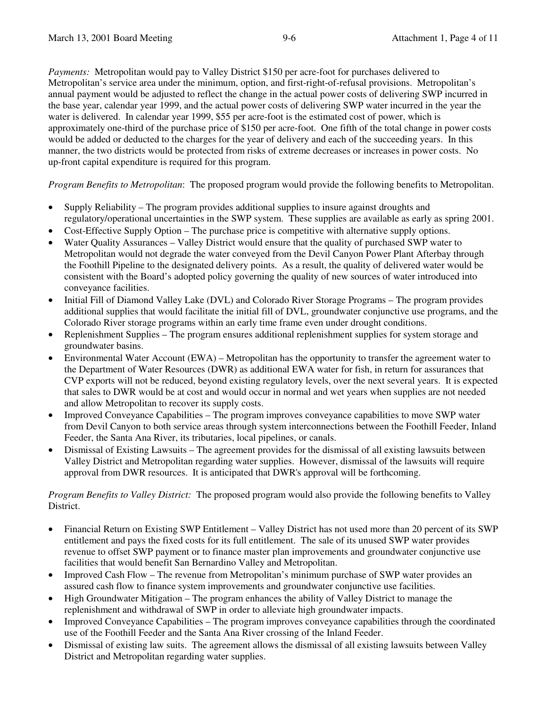*Payments:* Metropolitan would pay to Valley District \$150 per acre-foot for purchases delivered to Metropolitan's service area under the minimum, option, and first-right-of-refusal provisions. Metropolitan's annual payment would be adjusted to reflect the change in the actual power costs of delivering SWP incurred in the base year, calendar year 1999, and the actual power costs of delivering SWP water incurred in the year the water is delivered. In calendar year 1999, \$55 per acre-foot is the estimated cost of power, which is approximately one-third of the purchase price of \$150 per acre-foot. One fifth of the total change in power costs would be added or deducted to the charges for the year of delivery and each of the succeeding years. In this manner, the two districts would be protected from risks of extreme decreases or increases in power costs. No up-front capital expenditure is required for this program.

*Program Benefits to Metropolitan*: The proposed program would provide the following benefits to Metropolitan.

- Supply Reliability The program provides additional supplies to insure against droughts and regulatory/operational uncertainties in the SWP system. These supplies are available as early as spring 2001.
- Cost-Effective Supply Option The purchase price is competitive with alternative supply options.
- Water Quality Assurances Valley District would ensure that the quality of purchased SWP water to Metropolitan would not degrade the water conveyed from the Devil Canyon Power Plant Afterbay through the Foothill Pipeline to the designated delivery points. As a result, the quality of delivered water would be consistent with the Board's adopted policy governing the quality of new sources of water introduced into conveyance facilities.
- Initial Fill of Diamond Valley Lake (DVL) and Colorado River Storage Programs The program provides additional supplies that would facilitate the initial fill of DVL, groundwater conjunctive use programs, and the Colorado River storage programs within an early time frame even under drought conditions.
- Replenishment Supplies The program ensures additional replenishment supplies for system storage and groundwater basins.
- Environmental Water Account (EWA) Metropolitan has the opportunity to transfer the agreement water to the Department of Water Resources (DWR) as additional EWA water for fish, in return for assurances that CVP exports will not be reduced, beyond existing regulatory levels, over the next several years. It is expected that sales to DWR would be at cost and would occur in normal and wet years when supplies are not needed and allow Metropolitan to recover its supply costs.
- Improved Conveyance Capabilities The program improves conveyance capabilities to move SWP water from Devil Canyon to both service areas through system interconnections between the Foothill Feeder, Inland Feeder, the Santa Ana River, its tributaries, local pipelines, or canals.
- Dismissal of Existing Lawsuits The agreement provides for the dismissal of all existing lawsuits between Valley District and Metropolitan regarding water supplies. However, dismissal of the lawsuits will require approval from DWR resources. It is anticipated that DWR's approval will be forthcoming.

*Program Benefits to Valley District:* The proposed program would also provide the following benefits to Valley District.

- Financial Return on Existing SWP Entitlement Valley District has not used more than 20 percent of its SWP entitlement and pays the fixed costs for its full entitlement. The sale of its unused SWP water provides revenue to offset SWP payment or to finance master plan improvements and groundwater conjunctive use facilities that would benefit San Bernardino Valley and Metropolitan.
- Improved Cash Flow The revenue from Metropolitan's minimum purchase of SWP water provides an assured cash flow to finance system improvements and groundwater conjunctive use facilities.
- High Groundwater Mitigation The program enhances the ability of Valley District to manage the replenishment and withdrawal of SWP in order to alleviate high groundwater impacts.
- Improved Conveyance Capabilities The program improves conveyance capabilities through the coordinated use of the Foothill Feeder and the Santa Ana River crossing of the Inland Feeder.
- Dismissal of existing law suits. The agreement allows the dismissal of all existing lawsuits between Valley District and Metropolitan regarding water supplies.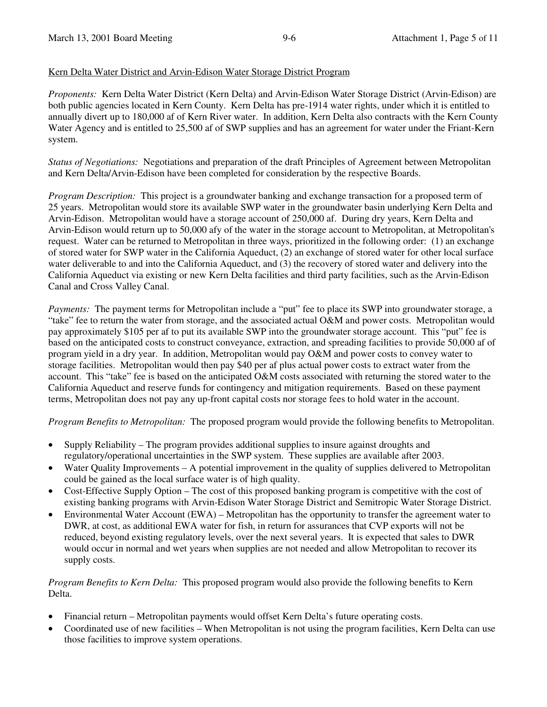#### Kern Delta Water District and Arvin-Edison Water Storage District Program

*Proponents:* Kern Delta Water District (Kern Delta) and Arvin-Edison Water Storage District (Arvin-Edison) are both public agencies located in Kern County. Kern Delta has pre-1914 water rights, under which it is entitled to annually divert up to 180,000 af of Kern River water. In addition, Kern Delta also contracts with the Kern County Water Agency and is entitled to 25,500 af of SWP supplies and has an agreement for water under the Friant-Kern system.

*Status of Negotiations:* Negotiations and preparation of the draft Principles of Agreement between Metropolitan and Kern Delta/Arvin-Edison have been completed for consideration by the respective Boards.

*Program Description:* This project is a groundwater banking and exchange transaction for a proposed term of 25 years. Metropolitan would store its available SWP water in the groundwater basin underlying Kern Delta and Arvin-Edison. Metropolitan would have a storage account of 250,000 af. During dry years, Kern Delta and Arvin-Edison would return up to 50,000 afy of the water in the storage account to Metropolitan, at Metropolitan's request. Water can be returned to Metropolitan in three ways, prioritized in the following order: (1) an exchange of stored water for SWP water in the California Aqueduct, (2) an exchange of stored water for other local surface water deliverable to and into the California Aqueduct, and (3) the recovery of stored water and delivery into the California Aqueduct via existing or new Kern Delta facilities and third party facilities, such as the Arvin-Edison Canal and Cross Valley Canal.

*Payments:* The payment terms for Metropolitan include a "put" fee to place its SWP into groundwater storage, a "take" fee to return the water from storage, and the associated actual O&M and power costs. Metropolitan would pay approximately \$105 per af to put its available SWP into the groundwater storage account. This "put" fee is based on the anticipated costs to construct conveyance, extraction, and spreading facilities to provide 50,000 af of program yield in a dry year. In addition, Metropolitan would pay O&M and power costs to convey water to storage facilities. Metropolitan would then pay \$40 per af plus actual power costs to extract water from the account. This "take" fee is based on the anticipated O&M costs associated with returning the stored water to the California Aqueduct and reserve funds for contingency and mitigation requirements. Based on these payment terms, Metropolitan does not pay any up-front capital costs nor storage fees to hold water in the account.

*Program Benefits to Metropolitan:* The proposed program would provide the following benefits to Metropolitan.

- Supply Reliability The program provides additional supplies to insure against droughts and regulatory/operational uncertainties in the SWP system. These supplies are available after 2003.
- Water Quality Improvements A potential improvement in the quality of supplies delivered to Metropolitan could be gained as the local surface water is of high quality.
- Cost-Effective Supply Option The cost of this proposed banking program is competitive with the cost of existing banking programs with Arvin-Edison Water Storage District and Semitropic Water Storage District.
- Environmental Water Account (EWA) Metropolitan has the opportunity to transfer the agreement water to DWR, at cost, as additional EWA water for fish, in return for assurances that CVP exports will not be reduced, beyond existing regulatory levels, over the next several years. It is expected that sales to DWR would occur in normal and wet years when supplies are not needed and allow Metropolitan to recover its supply costs.

*Program Benefits to Kern Delta:* This proposed program would also provide the following benefits to Kern Delta.

- Financial return Metropolitan payments would offset Kern Delta's future operating costs.
- Coordinated use of new facilities When Metropolitan is not using the program facilities, Kern Delta can use those facilities to improve system operations.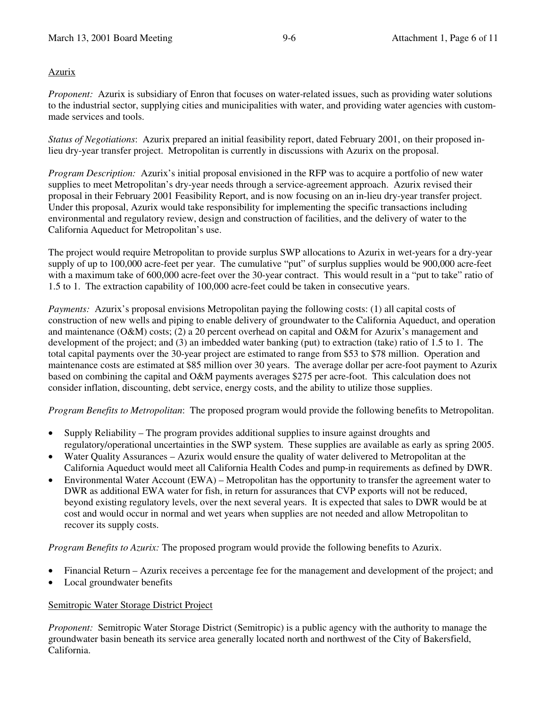# Azurix

*Proponent:* Azurix is subsidiary of Enron that focuses on water-related issues, such as providing water solutions to the industrial sector, supplying cities and municipalities with water, and providing water agencies with custommade services and tools.

*Status of Negotiations*: Azurix prepared an initial feasibility report, dated February 2001, on their proposed inlieu dry-year transfer project. Metropolitan is currently in discussions with Azurix on the proposal.

*Program Description:* Azurix's initial proposal envisioned in the RFP was to acquire a portfolio of new water supplies to meet Metropolitan's dry-year needs through a service-agreement approach. Azurix revised their proposal in their February 2001 Feasibility Report, and is now focusing on an in-lieu dry-year transfer project. Under this proposal, Azurix would take responsibility for implementing the specific transactions including environmental and regulatory review, design and construction of facilities, and the delivery of water to the California Aqueduct for Metropolitan's use.

The project would require Metropolitan to provide surplus SWP allocations to Azurix in wet-years for a dry-year supply of up to 100,000 acre-feet per year. The cumulative "put" of surplus supplies would be 900,000 acre-feet with a maximum take of 600,000 acre-feet over the 30-year contract. This would result in a "put to take" ratio of 1.5 to 1. The extraction capability of 100,000 acre-feet could be taken in consecutive years.

*Payments:* Azurix's proposal envisions Metropolitan paying the following costs: (1) all capital costs of construction of new wells and piping to enable delivery of groundwater to the California Aqueduct, and operation and maintenance (O&M) costs; (2) a 20 percent overhead on capital and O&M for Azurix's management and development of the project; and (3) an imbedded water banking (put) to extraction (take) ratio of 1.5 to 1. The total capital payments over the 30-year project are estimated to range from \$53 to \$78 million. Operation and maintenance costs are estimated at \$85 million over 30 years. The average dollar per acre-foot payment to Azurix based on combining the capital and O&M payments averages \$275 per acre-foot. This calculation does not consider inflation, discounting, debt service, energy costs, and the ability to utilize those supplies.

*Program Benefits to Metropolitan*: The proposed program would provide the following benefits to Metropolitan.

- Supply Reliability The program provides additional supplies to insure against droughts and regulatory/operational uncertainties in the SWP system. These supplies are available as early as spring 2005.
- Water Quality Assurances Azurix would ensure the quality of water delivered to Metropolitan at the California Aqueduct would meet all California Health Codes and pump-in requirements as defined by DWR.
- Environmental Water Account (EWA) Metropolitan has the opportunity to transfer the agreement water to DWR as additional EWA water for fish, in return for assurances that CVP exports will not be reduced, beyond existing regulatory levels, over the next several years. It is expected that sales to DWR would be at cost and would occur in normal and wet years when supplies are not needed and allow Metropolitan to recover its supply costs.

*Program Benefits to Azurix:* The proposed program would provide the following benefits to Azurix.

- Financial Return Azurix receives a percentage fee for the management and development of the project; and
- Local groundwater benefits

# Semitropic Water Storage District Project

*Proponent:* Semitropic Water Storage District (Semitropic) is a public agency with the authority to manage the groundwater basin beneath its service area generally located north and northwest of the City of Bakersfield, California.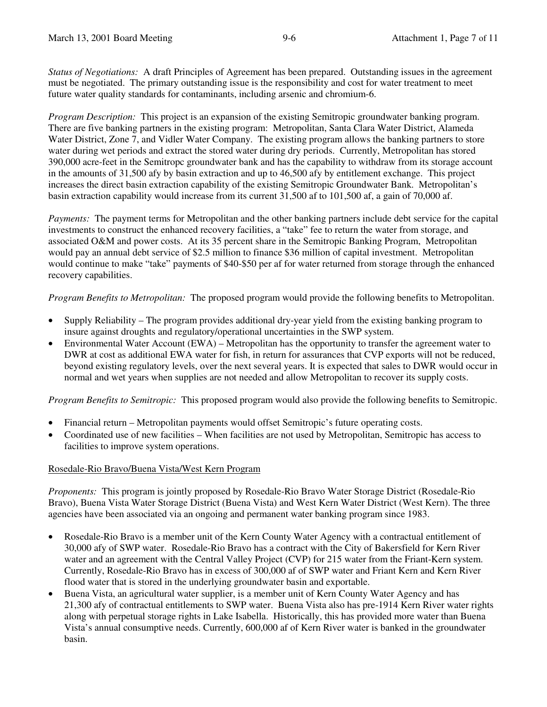*Status of Negotiations:* A draft Principles of Agreement has been prepared. Outstanding issues in the agreement must be negotiated. The primary outstanding issue is the responsibility and cost for water treatment to meet future water quality standards for contaminants, including arsenic and chromium-6.

*Program Description:* This project is an expansion of the existing Semitropic groundwater banking program. There are five banking partners in the existing program: Metropolitan, Santa Clara Water District, Alameda Water District, Zone 7, and Vidler Water Company. The existing program allows the banking partners to store water during wet periods and extract the stored water during dry periods. Currently, Metropolitan has stored 390,000 acre-feet in the Semitropc groundwater bank and has the capability to withdraw from its storage account in the amounts of 31,500 afy by basin extraction and up to 46,500 afy by entitlement exchange. This project increases the direct basin extraction capability of the existing Semitropic Groundwater Bank. Metropolitan's basin extraction capability would increase from its current 31,500 af to 101,500 af, a gain of 70,000 af.

*Payments:* The payment terms for Metropolitan and the other banking partners include debt service for the capital investments to construct the enhanced recovery facilities, a "take" fee to return the water from storage, and associated O&M and power costs. At its 35 percent share in the Semitropic Banking Program, Metropolitan would pay an annual debt service of \$2.5 million to finance \$36 million of capital investment. Metropolitan would continue to make "take" payments of \$40-\$50 per af for water returned from storage through the enhanced recovery capabilities.

*Program Benefits to Metropolitan:* The proposed program would provide the following benefits to Metropolitan.

- Supply Reliability The program provides additional dry-year yield from the existing banking program to insure against droughts and regulatory/operational uncertainties in the SWP system.
- Environmental Water Account (EWA) Metropolitan has the opportunity to transfer the agreement water to DWR at cost as additional EWA water for fish, in return for assurances that CVP exports will not be reduced, beyond existing regulatory levels, over the next several years. It is expected that sales to DWR would occur in normal and wet years when supplies are not needed and allow Metropolitan to recover its supply costs.

*Program Benefits to Semitropic:* This proposed program would also provide the following benefits to Semitropic.

- Financial return Metropolitan payments would offset Semitropic's future operating costs.
- Coordinated use of new facilities When facilities are not used by Metropolitan, Semitropic has access to facilities to improve system operations.

# Rosedale-Rio Bravo/Buena Vista/West Kern Program

*Proponents:* This program is jointly proposed by Rosedale-Rio Bravo Water Storage District (Rosedale-Rio Bravo), Buena Vista Water Storage District (Buena Vista) and West Kern Water District (West Kern). The three agencies have been associated via an ongoing and permanent water banking program since 1983.

- Rosedale-Rio Bravo is a member unit of the Kern County Water Agency with a contractual entitlement of 30,000 afy of SWP water. Rosedale-Rio Bravo has a contract with the City of Bakersfield for Kern River water and an agreement with the Central Valley Project (CVP) for 215 water from the Friant-Kern system. Currently, Rosedale-Rio Bravo has in excess of 300,000 af of SWP water and Friant Kern and Kern River flood water that is stored in the underlying groundwater basin and exportable.
- Buena Vista, an agricultural water supplier, is a member unit of Kern County Water Agency and has 21,300 afy of contractual entitlements to SWP water. Buena Vista also has pre-1914 Kern River water rights along with perpetual storage rights in Lake Isabella. Historically, this has provided more water than Buena Vista's annual consumptive needs. Currently, 600,000 af of Kern River water is banked in the groundwater basin.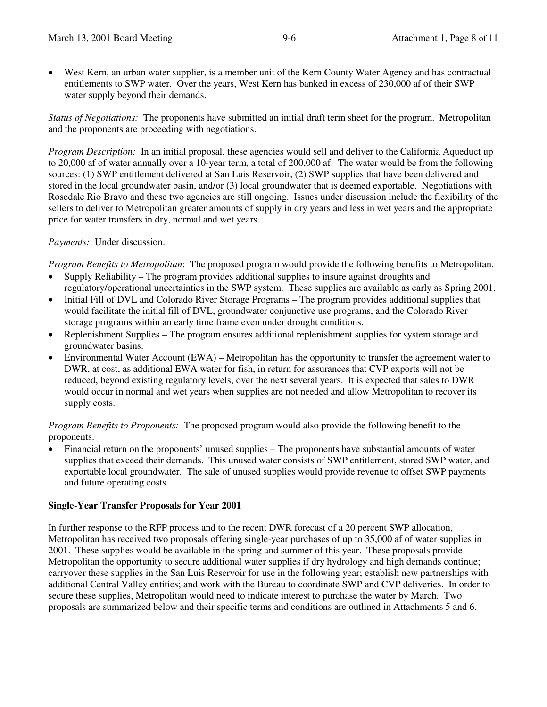• West Kern, an urban water supplier, is a member unit of the Kern County Water Agency and has contractual entitlements to SWP water. Over the years, West Kern has banked in excess of 230,000 af of their SWP water supply beyond their demands.

*Status of Negotiations:* The proponents have submitted an initial draft term sheet for the program. Metropolitan and the proponents are proceeding with negotiations.

*Program Description:* In an initial proposal, these agencies would sell and deliver to the California Aqueduct up to 20,000 af of water annually over a 10-year term, a total of 200,000 af. The water would be from the following sources: (1) SWP entitlement delivered at San Luis Reservoir, (2) SWP supplies that have been delivered and stored in the local groundwater basin, and/or (3) local groundwater that is deemed exportable. Negotiations with Rosedale Rio Bravo and these two agencies are still ongoing. Issues under discussion include the flexibility of the sellers to deliver to Metropolitan greater amounts of supply in dry years and less in wet years and the appropriate price for water transfers in dry, normal and wet years.

# *Payments:* Under discussion.

*Program Benefits to Metropolitan*: The proposed program would provide the following benefits to Metropolitan.

- Supply Reliability The program provides additional supplies to insure against droughts and regulatory/operational uncertainties in the SWP system. These supplies are available as early as Spring 2001.
- Initial Fill of DVL and Colorado River Storage Programs The program provides additional supplies that would facilitate the initial fill of DVL, groundwater conjunctive use programs, and the Colorado River storage programs within an early time frame even under drought conditions.
- Replenishment Supplies The program ensures additional replenishment supplies for system storage and groundwater basins.
- Environmental Water Account (EWA) Metropolitan has the opportunity to transfer the agreement water to DWR, at cost, as additional EWA water for fish, in return for assurances that CVP exports will not be reduced, beyond existing regulatory levels, over the next several years. It is expected that sales to DWR would occur in normal and wet years when supplies are not needed and allow Metropolitan to recover its supply costs.

*Program Benefits to Proponents:* The proposed program would also provide the following benefit to the proponents.

• Financial return on the proponents' unused supplies – The proponents have substantial amounts of water supplies that exceed their demands. This unused water consists of SWP entitlement, stored SWP water, and exportable local groundwater. The sale of unused supplies would provide revenue to offset SWP payments and future operating costs.

# **Single-Year Transfer Proposals for Year 2001**

In further response to the RFP process and to the recent DWR forecast of a 20 percent SWP allocation, Metropolitan has received two proposals offering single-year purchases of up to 35,000 af of water supplies in 2001. These supplies would be available in the spring and summer of this year. These proposals provide Metropolitan the opportunity to secure additional water supplies if dry hydrology and high demands continue; carryover these supplies in the San Luis Reservoir for use in the following year; establish new partnerships with additional Central Valley entities; and work with the Bureau to coordinate SWP and CVP deliveries. In order to secure these supplies, Metropolitan would need to indicate interest to purchase the water by March. Two proposals are summarized below and their specific terms and conditions are outlined in Attachments 5 and 6.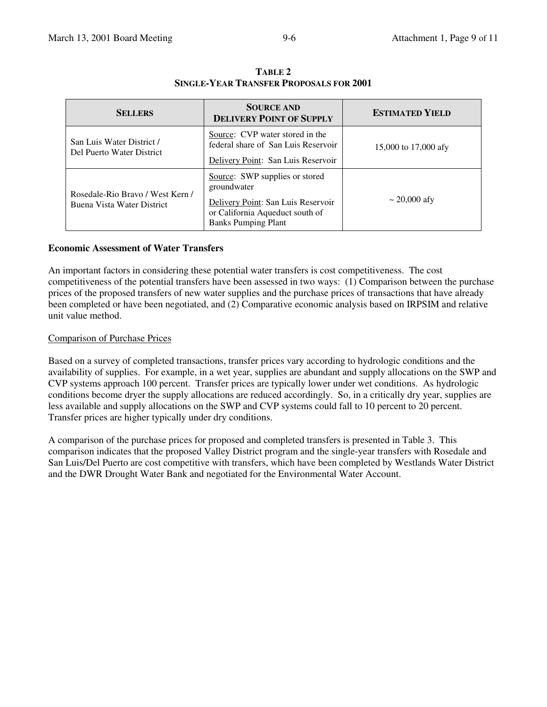| <b>SELLERS</b>                                                 | <b>SOURCE AND</b><br><b>DELIVERY POINT OF SUPPLY</b>                                                                                                 | <b>ESTIMATED YIELD</b> |  |
|----------------------------------------------------------------|------------------------------------------------------------------------------------------------------------------------------------------------------|------------------------|--|
| San Luis Water District /<br>Del Puerto Water District         | Source: CVP water stored in the<br>federal share of San Luis Reservoir<br>Delivery Point: San Luis Reservoir                                         | 15,000 to 17,000 afy   |  |
| Rosedale-Rio Bravo / West Kern /<br>Buena Vista Water District | Source: SWP supplies or stored<br>groundwater<br>Delivery Point: San Luis Reservoir<br>or California Aqueduct south of<br><b>Banks Pumping Plant</b> | $\sim$ 20,000 afy      |  |

**TABLE 2 SINGLE-YEAR TRANSFER PROPOSALS FOR 2001**

#### **Economic Assessment of Water Transfers**

An important factors in considering these potential water transfers is cost competitiveness. The cost competitiveness of the potential transfers have been assessed in two ways: (1) Comparison between the purchase prices of the proposed transfers of new water supplies and the purchase prices of transactions that have already been completed or have been negotiated, and (2) Comparative economic analysis based on IRPSIM and relative unit value method.

#### Comparison of Purchase Prices

Based on a survey of completed transactions, transfer prices vary according to hydrologic conditions and the availability of supplies. For example, in a wet year, supplies are abundant and supply allocations on the SWP and CVP systems approach 100 percent. Transfer prices are typically lower under wet conditions. As hydrologic conditions become dryer the supply allocations are reduced accordingly. So, in a critically dry year, supplies are less available and supply allocations on the SWP and CVP systems could fall to 10 percent to 20 percent. Transfer prices are higher typically under dry conditions.

A comparison of the purchase prices for proposed and completed transfers is presented in Table 3. This comparison indicates that the proposed Valley District program and the single-year transfers with Rosedale and San Luis/Del Puerto are cost competitive with transfers, which have been completed by Westlands Water District and the DWR Drought Water Bank and negotiated for the Environmental Water Account.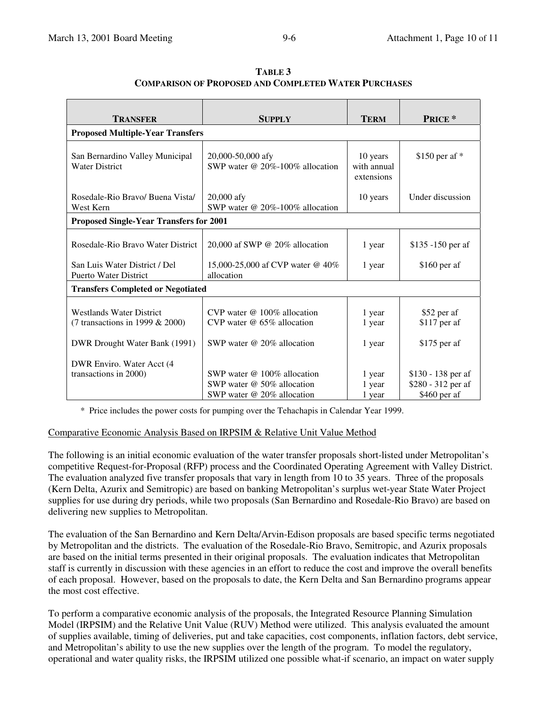| TRANSFER                                                                                               | <b>SUPPLY</b>                                                                                           | <b>TERM</b>                           | <b>PRICE</b> *                                           |  |  |  |
|--------------------------------------------------------------------------------------------------------|---------------------------------------------------------------------------------------------------------|---------------------------------------|----------------------------------------------------------|--|--|--|
| <b>Proposed Multiple-Year Transfers</b>                                                                |                                                                                                         |                                       |                                                          |  |  |  |
| San Bernardino Valley Municipal<br><b>Water District</b>                                               | 20,000-50,000 afy<br>SWP water $@ 20\% - 100\%$ allocation                                              | 10 years<br>with annual<br>extensions | $$150$ per af *                                          |  |  |  |
| Rosedale-Rio Bravo/ Buena Vista<br>West Kern                                                           | $20,000$ afy<br>SWP water @ $20\% - 100\%$ allocation                                                   | 10 years                              | Under discussion                                         |  |  |  |
| <b>Proposed Single-Year Transfers for 2001</b>                                                         |                                                                                                         |                                       |                                                          |  |  |  |
| Rosedale-Rio Bravo Water District                                                                      | 20,000 af SWP @ 20% allocation                                                                          | 1 year                                | \$135 -150 per af                                        |  |  |  |
| San Luis Water District / Del<br><b>Puerto Water District</b>                                          | 15,000-25,000 af CVP water @ 40%<br>allocation                                                          | 1 year                                | $$160$ per af                                            |  |  |  |
| <b>Transfers Completed or Negotiated</b>                                                               |                                                                                                         |                                       |                                                          |  |  |  |
| <b>Westlands Water District</b><br>(7 transactions in 1999 $& 2000$ )<br>DWR Drought Water Bank (1991) | CVP water $@$ 100% allocation<br>CVP water $\omega$ 65% allocation<br>SWP water $\omega$ 20% allocation | 1 year<br>1 year<br>1 year            | \$52 per af<br>\$117 per af<br>$$175$ per af             |  |  |  |
| DWR Enviro. Water Acct (4<br>transactions in 2000)                                                     | SWP water $@$ 100% allocation<br>SWP water $\omega$ 50% allocation<br>SWP water $@$ 20% allocation      | 1 year<br>1 year<br>1 year            | \$130 - 138 per af<br>\$280 - 312 per af<br>\$460 per af |  |  |  |

**TABLE 3 COMPARISON OF PROPOSED AND COMPLETED WATER PURCHASES**

\* Price includes the power costs for pumping over the Tehachapis in Calendar Year 1999.

#### Comparative Economic Analysis Based on IRPSIM & Relative Unit Value Method

The following is an initial economic evaluation of the water transfer proposals short-listed under Metropolitan's competitive Request-for-Proposal (RFP) process and the Coordinated Operating Agreement with Valley District. The evaluation analyzed five transfer proposals that vary in length from 10 to 35 years. Three of the proposals (Kern Delta, Azurix and Semitropic) are based on banking Metropolitan's surplus wet-year State Water Project supplies for use during dry periods, while two proposals (San Bernardino and Rosedale-Rio Bravo) are based on delivering new supplies to Metropolitan.

The evaluation of the San Bernardino and Kern Delta/Arvin-Edison proposals are based specific terms negotiated by Metropolitan and the districts. The evaluation of the Rosedale-Rio Bravo, Semitropic, and Azurix proposals are based on the initial terms presented in their original proposals. The evaluation indicates that Metropolitan staff is currently in discussion with these agencies in an effort to reduce the cost and improve the overall benefits of each proposal. However, based on the proposals to date, the Kern Delta and San Bernardino programs appear the most cost effective.

To perform a comparative economic analysis of the proposals, the Integrated Resource Planning Simulation Model (IRPSIM) and the Relative Unit Value (RUV) Method were utilized. This analysis evaluated the amount of supplies available, timing of deliveries, put and take capacities, cost components, inflation factors, debt service, and Metropolitan's ability to use the new supplies over the length of the program. To model the regulatory, operational and water quality risks, the IRPSIM utilized one possible what-if scenario, an impact on water supply